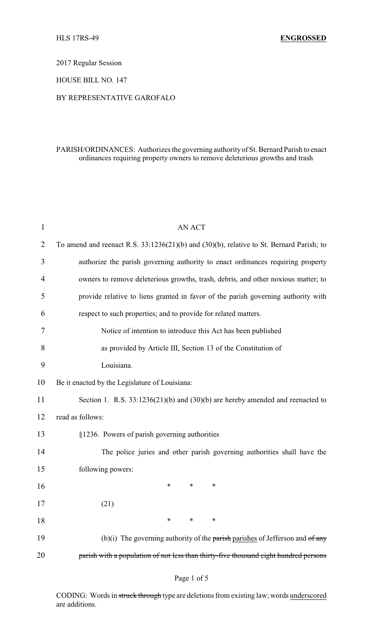2017 Regular Session

HOUSE BILL NO. 147

## BY REPRESENTATIVE GAROFALO

## PARISH/ORDINANCES: Authorizes the governing authority of St. Bernard Parish to enact ordinances requiring property owners to remove deleterious growths and trash

| $\mathbf{1}$ | <b>AN ACT</b>                                                                            |  |  |
|--------------|------------------------------------------------------------------------------------------|--|--|
| 2            | To amend and reenact R.S. 33:1236(21)(b) and (30)(b), relative to St. Bernard Parish; to |  |  |
| 3            | authorize the parish governing authority to enact ordinances requiring property          |  |  |
| 4            | owners to remove deleterious growths, trash, debris, and other noxious matter; to        |  |  |
| 5            | provide relative to liens granted in favor of the parish governing authority with        |  |  |
| 6            | respect to such properties; and to provide for related matters.                          |  |  |
| 7            | Notice of intention to introduce this Act has been published                             |  |  |
| 8            | as provided by Article III, Section 13 of the Constitution of                            |  |  |
| 9            | Louisiana.                                                                               |  |  |
| 10           | Be it enacted by the Legislature of Louisiana:                                           |  |  |
| 11           | Section 1. R.S. $33:1236(21)(b)$ and $(30)(b)$ are hereby amended and reenacted to       |  |  |
| 12           | read as follows:                                                                         |  |  |
| 13           | §1236. Powers of parish governing authorities                                            |  |  |
| 14           | The police juries and other parish governing authorities shall have the                  |  |  |
| 15           | following powers:                                                                        |  |  |
| 16           | *<br>∗<br>*                                                                              |  |  |
| 17           | (21)                                                                                     |  |  |
| 18           | $\ast$<br>$\ast$<br>∗                                                                    |  |  |
| 19           | (b)(i) The governing authority of the parish parishes of Jefferson and $of$ any          |  |  |
| 20           | parish with a population of not less than thirty-five thousand eight hundred persons     |  |  |

CODING: Words in struck through type are deletions from existing law; words underscored are additions.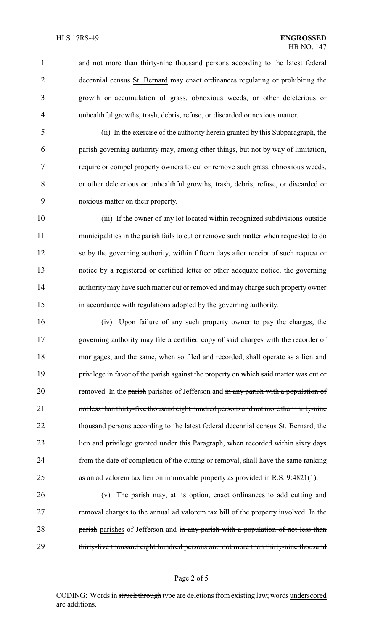1 and not more than thirty-nine thousand persons according to the latest federal 2 decennial census St. Bernard may enact ordinances regulating or prohibiting the growth or accumulation of grass, obnoxious weeds, or other deleterious or unhealthful growths, trash, debris, refuse, or discarded or noxious matter.

 (ii) In the exercise of the authority herein granted by this Subparagraph, the parish governing authority may, among other things, but not by way of limitation, require or compel property owners to cut or remove such grass, obnoxious weeds, or other deleterious or unhealthful growths, trash, debris, refuse, or discarded or noxious matter on their property.

 (iii) If the owner of any lot located within recognized subdivisions outside municipalities in the parish fails to cut or remove such matter when requested to do so by the governing authority, within fifteen days after receipt of such request or notice by a registered or certified letter or other adequate notice, the governing authority may have such matter cut or removed and may charge such property owner in accordance with regulations adopted by the governing authority.

 (iv) Upon failure of any such property owner to pay the charges, the governing authority may file a certified copy of said charges with the recorder of mortgages, and the same, when so filed and recorded, shall operate as a lien and privilege in favor of the parish against the property on which said matter was cut or 20 removed. In the parish parishes of Jefferson and in any parish with a population of 21 not less than thirty-five thousand eight hundred persons and not more than thirty-nine 22 thousand persons according to the latest federal decennial census St. Bernard, the lien and privilege granted under this Paragraph, when recorded within sixty days from the date of completion of the cutting or removal, shall have the same ranking as an ad valorem tax lien on immovable property as provided in R.S. 9:4821(1).

 (v) The parish may, at its option, enact ordinances to add cutting and removal charges to the annual ad valorem tax bill of the property involved. In the 28 parish parishes of Jefferson and in any parish with a population of not less than 29 thirty-five thousand eight hundred persons and not more than thirty-nine thousand

#### Page 2 of 5

CODING: Words in struck through type are deletions from existing law; words underscored are additions.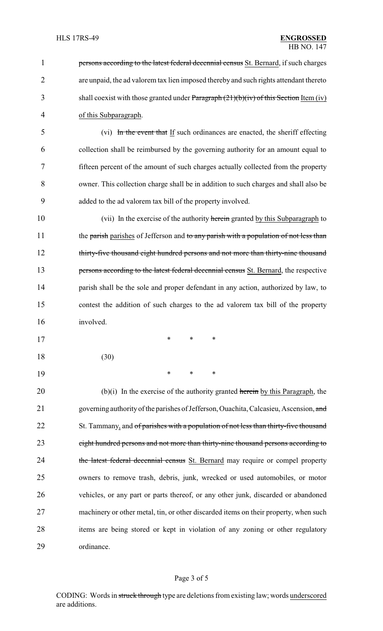**persons according to the latest federal decennial census** St. Bernard, if such charges are unpaid, the ad valorem tax lien imposed thereby and such rights attendant thereto 3 shall coexist with those granted under Paragraph (21)(b)(iv) of this Section Item (iv) of this Subparagraph.

 (vi) In the event that If such ordinances are enacted, the sheriff effecting collection shall be reimbursed by the governing authority for an amount equal to fifteen percent of the amount of such charges actually collected from the property owner. This collection charge shall be in addition to such charges and shall also be added to the ad valorem tax bill of the property involved.

10 (vii) In the exercise of the authority herein granted by this Subparagraph to 11 the parish parishes of Jefferson and to any parish with a population of not less than 12 thirty-five thousand eight hundred persons and not more than thirty-nine thousand 13 persons according to the latest federal decennial census St. Bernard, the respective 14 parish shall be the sole and proper defendant in any action, authorized by law, to 15 contest the addition of such charges to the ad valorem tax bill of the property 16 involved.

18 (30)

17 \* \* \*

19 \* \* \*

20 (b)(i) In the exercise of the authority granted herein by this Paragraph, the 21 governing authority of the parishes of Jefferson, Ouachita, Calcasieu, Ascension, and 22 St. Tammany, and of parishes with a population of not less than thirty-five thousand 23 eight hundred persons and not more than thirty-nine thousand persons according to 24 the latest federal decennial census St. Bernard may require or compel property 25 owners to remove trash, debris, junk, wrecked or used automobiles, or motor 26 vehicles, or any part or parts thereof, or any other junk, discarded or abandoned 27 machinery or other metal, tin, or other discarded items on their property, when such 28 items are being stored or kept in violation of any zoning or other regulatory 29 ordinance.

### Page 3 of 5

CODING: Words in struck through type are deletions from existing law; words underscored are additions.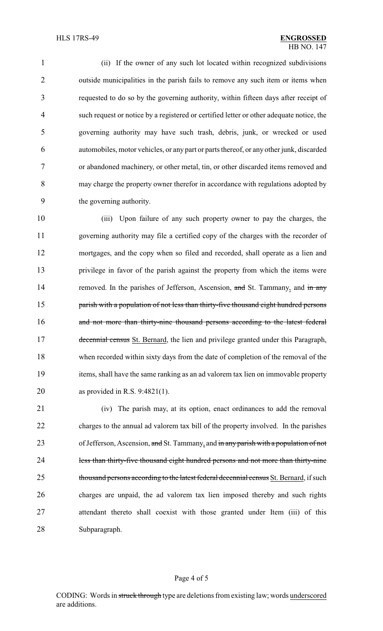(ii) If the owner of any such lot located within recognized subdivisions outside municipalities in the parish fails to remove any such item or items when requested to do so by the governing authority, within fifteen days after receipt of such request or notice by a registered or certified letter or other adequate notice, the governing authority may have such trash, debris, junk, or wrecked or used automobiles, motor vehicles, or any part or parts thereof, or any other junk, discarded or abandoned machinery, or other metal, tin, or other discarded items removed and may charge the property owner therefor in accordance with regulations adopted by the governing authority.

 (iii) Upon failure of any such property owner to pay the charges, the governing authority may file a certified copy of the charges with the recorder of mortgages, and the copy when so filed and recorded, shall operate as a lien and privilege in favor of the parish against the property from which the items were 14 removed. In the parishes of Jefferson, Ascension, and St. Tammany, and in any **parish with a population of not less than thirty-five thousand eight hundred persons** 16 and not more than thirty-nine thousand persons according to the latest federal 17 decennial census St. Bernard, the lien and privilege granted under this Paragraph, when recorded within sixty days from the date of completion of the removal of the items, shall have the same ranking as an ad valorem tax lien on immovable property as provided in R.S. 9:4821(1).

 (iv) The parish may, at its option, enact ordinances to add the removal charges to the annual ad valorem tax bill of the property involved. In the parishes 23 of Jefferson, Ascension, and St. Tammany, and in any parish with a population of not 24 less than thirty-five thousand eight hundred persons and not more than thirty-nine 25 thousand persons according to the latest federal decennial census St. Bernard, if such charges are unpaid, the ad valorem tax lien imposed thereby and such rights attendant thereto shall coexist with those granted under Item (iii) of this Subparagraph.